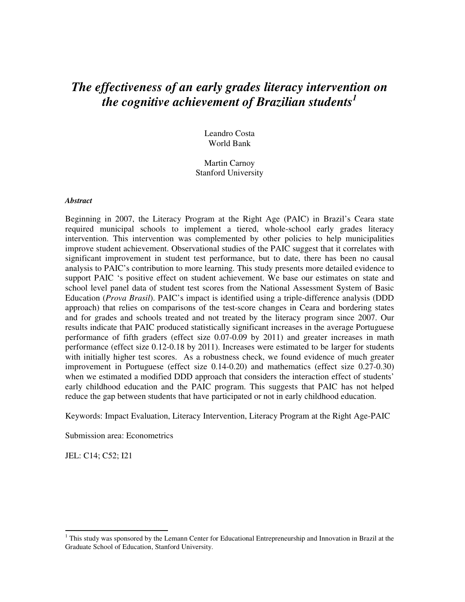# *The effectiveness of an early grades literacy intervention on the cognitive achievement of Brazilian students<sup>1</sup>*

Leandro Costa World Bank

Martin Carnoy Stanford University

#### *Abstract*

Beginning in 2007, the Literacy Program at the Right Age (PAIC) in Brazil's Ceara state required municipal schools to implement a tiered, whole-school early grades literacy intervention. This intervention was complemented by other policies to help municipalities improve student achievement. Observational studies of the PAIC suggest that it correlates with significant improvement in student test performance, but to date, there has been no causal analysis to PAIC's contribution to more learning. This study presents more detailed evidence to support PAIC 's positive effect on student achievement. We base our estimates on state and school level panel data of student test scores from the National Assessment System of Basic Education (*Prova Brasil*). PAIC's impact is identified using a triple-difference analysis (DDD approach) that relies on comparisons of the test-score changes in Ceara and bordering states and for grades and schools treated and not treated by the literacy program since 2007. Our results indicate that PAIC produced statistically significant increases in the average Portuguese performance of fifth graders (effect size 0.07-0.09 by 2011) and greater increases in math performance (effect size 0.12-0.18 by 2011). Increases were estimated to be larger for students with initially higher test scores. As a robustness check, we found evidence of much greater improvement in Portuguese (effect size 0.14-0.20) and mathematics (effect size 0.27-0.30) when we estimated a modified DDD approach that considers the interaction effect of students' early childhood education and the PAIC program. This suggests that PAIC has not helped reduce the gap between students that have participated or not in early childhood education.

Keywords: Impact Evaluation, Literacy Intervention, Literacy Program at the Right Age-PAIC

Submission area: Econometrics

JEL: C14; C52; I21

 $1$ <sup>1</sup> This study was sponsored by the Lemann Center for Educational Entrepreneurship and Innovation in Brazil at the Graduate School of Education, Stanford University.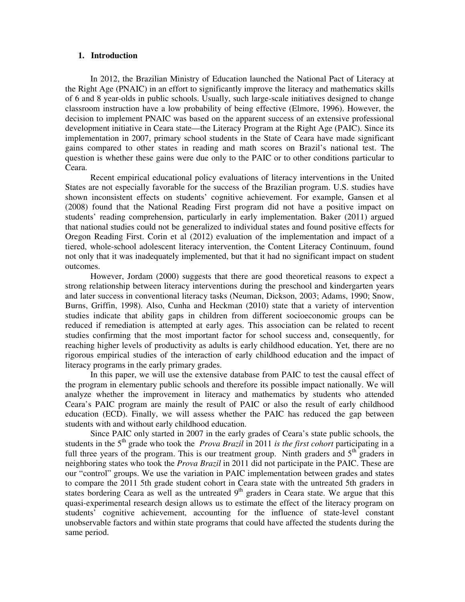#### **1. Introduction**

In 2012, the Brazilian Ministry of Education launched the National Pact of Literacy at the Right Age (PNAIC) in an effort to significantly improve the literacy and mathematics skills of 6 and 8 year-olds in public schools. Usually, such large-scale initiatives designed to change classroom instruction have a low probability of being effective (Elmore, 1996). However, the decision to implement PNAIC was based on the apparent success of an extensive professional development initiative in Ceara state—the Literacy Program at the Right Age (PAIC). Since its implementation in 2007, primary school students in the State of Ceara have made significant gains compared to other states in reading and math scores on Brazil's national test. The question is whether these gains were due only to the PAIC or to other conditions particular to Ceara.

Recent empirical educational policy evaluations of literacy interventions in the United States are not especially favorable for the success of the Brazilian program. U.S. studies have shown inconsistent effects on students' cognitive achievement. For example, Gansen et al (2008) found that the National Reading First program did not have a positive impact on students' reading comprehension, particularly in early implementation. Baker (2011) argued that national studies could not be generalized to individual states and found positive effects for Oregon Reading First. Corin et al (2012) evaluation of the implementation and impact of a tiered, whole-school adolescent literacy intervention, the Content Literacy Continuum, found not only that it was inadequately implemented, but that it had no significant impact on student outcomes.

However, Jordam (2000) suggests that there are good theoretical reasons to expect a strong relationship between literacy interventions during the preschool and kindergarten years and later success in conventional literacy tasks (Neuman, Dickson, 2003; Adams, 1990; Snow, Burns, Griffin, 1998). Also, Cunha and Heckman (2010) state that a variety of intervention studies indicate that ability gaps in children from different socioeconomic groups can be reduced if remediation is attempted at early ages. This association can be related to recent studies confirming that the most important factor for school success and, consequently, for reaching higher levels of productivity as adults is early childhood education. Yet, there are no rigorous empirical studies of the interaction of early childhood education and the impact of literacy programs in the early primary grades.

In this paper, we will use the extensive database from PAIC to test the causal effect of the program in elementary public schools and therefore its possible impact nationally. We will analyze whether the improvement in literacy and mathematics by students who attended Ceara's PAIC program are mainly the result of PAIC or also the result of early childhood education (ECD). Finally, we will assess whether the PAIC has reduced the gap between students with and without early childhood education.

Since PAIC only started in 2007 in the early grades of Ceara's state public schools, the students in the 5<sup>th</sup> grade who took the *Prova Brazil* in 2011 *is the first cohort* participating in a full three years of the program. This is our treatment group. Ninth graders and  $5<sup>th</sup>$  graders in neighboring states who took the *Prova Brazil* in 2011 did not participate in the PAIC. These are our "control" groups. We use the variation in PAIC implementation between grades and states to compare the 2011 5th grade student cohort in Ceara state with the untreated 5th graders in states bordering Ceara as well as the untreated  $9<sup>th</sup>$  graders in Ceara state. We argue that this quasi-experimental research design allows us to estimate the effect of the literacy program on students' cognitive achievement, accounting for the influence of state-level constant unobservable factors and within state programs that could have affected the students during the same period.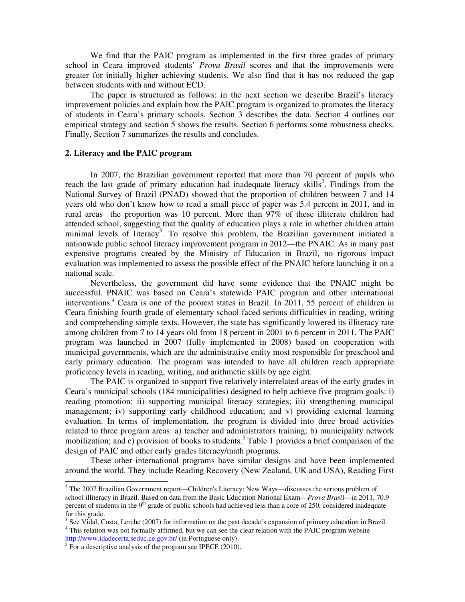We find that the PAIC program as implemented in the first three grades of primary school in Ceara improved students' *Prova Brasil* scores and that the improvements were greater for initially higher achieving students. We also find that it has not reduced the gap between students with and without ECD.

The paper is structured as follows: in the next section we describe Brazil's literacy improvement policies and explain how the PAIC program is organized to promotes the literacy of students in Ceara's primary schools. Section 3 describes the data. Section 4 outlines our empirical strategy and section 5 shows the results. Section 6 performs some robustness checks. Finally, Section 7 summarizes the results and concludes.

#### **2. Literacy and the PAIC program**

In 2007, the Brazilian government reported that more than 70 percent of pupils who reach the last grade of primary education had inadequate literacy skills<sup>2</sup>. Findings from the National Survey of Brazil (PNAD) showed that the proportion of children between 7 and 14 years old who don't know how to read a small piece of paper was 5.4 percent in 2011, and in rural areas the proportion was 10 percent. More than 97% of these illiterate children had attended school, suggesting that the quality of education plays a role in whether children attain minimal levels of literacy<sup>3</sup>. To resolve this problem, the Brazilian government initiated a nationwide public school literacy improvement program in 2012—the PNAIC. As in many past expensive programs created by the Ministry of Education in Brazil, no rigorous impact evaluation was implemented to assess the possible effect of the PNAIC before launching it on a national scale.

Nevertheless, the government did have some evidence that the PNAIC might be successful. PNAIC was based on Ceara's statewide PAIC program and other international interventions.<sup>4</sup> Ceara is one of the poorest states in Brazil. In 2011, 55 percent of children in Ceara finishing fourth grade of elementary school faced serious difficulties in reading, writing and comprehending simple texts. However, the state has significantly lowered its illiteracy rate among children from 7 to 14 years old from 18 percent in 2001 to 6 percent in 2011. The PAIC program was launched in 2007 (fully implemented in 2008) based on cooperation with municipal governments, which are the administrative entity most responsible for preschool and early primary education. The program was intended to have all children reach appropriate proficiency levels in reading, writing, and arithmetic skills by age eight.

The PAIC is organized to support five relatively interrelated areas of the early grades in Ceara's municipal schools (184 municipalities) designed to help achieve five program goals: i) reading promotion; ii) supporting municipal literacy strategies; iii) strengthening municipal management; iv) supporting early childhood education; and v) providing external learning evaluation. In terms of implementation, the program is divided into three broad activities related to three program areas: a) teacher and administrators training; b) municipality network mobilization; and c) provision of books to students.<sup>5</sup> Table 1 provides a brief comparison of the design of PAIC and other early grades literacy/math programs.

These other international programs have similar designs and have been implemented around the world. They include Reading Recovery (New Zealand, UK and USA), Reading First

http://www.idadecerta.seduc.ce.gov.br/ (in Portuguese only).<br><sup>5</sup> For a descriptive analysis of the program see IPECE (2010).

 $2$  The 2007 Brazilian Government report—Children's Literacy: New Ways—discusses the serious problem of school illiteracy in Brazil. Based on data from the Basic Education National Exam—*Prova Brasi*l—in 2011, 70.9 percent of students in the 9<sup>th</sup> grade of public schools had achieved less than a core of 250, considered inadequate for this grade.

 $3$  See Vidal, Costa, Lerche (2007) for information on the past decade's expansion of primary education in Brazil. <sup>4</sup> This relation was not formally affirmed, but we can see the clear relation with the PAIC program website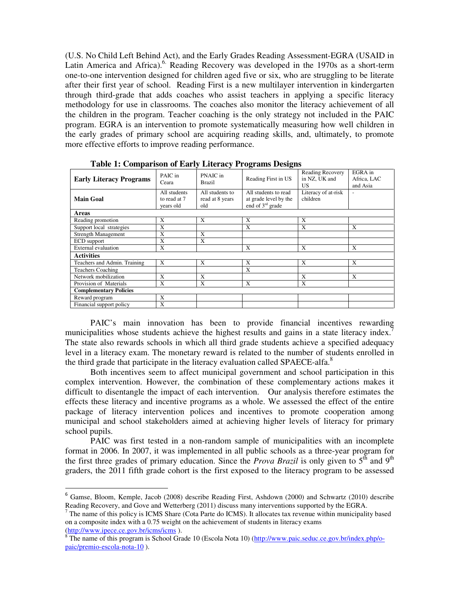(U.S. No Child Left Behind Act), and the Early Grades Reading Assessment-EGRA (USAID in Latin America and Africa).<sup>6</sup> Reading Recovery was developed in the 1970s as a short-term one-to-one intervention designed for children aged five or six, who are struggling to be literate after their first year of school. Reading First is a new multilayer intervention in kindergarten through third-grade that adds coaches who assist teachers in applying a specific literacy methodology for use in classrooms. The coaches also monitor the literacy achievement of all the children in the program. Teacher coaching is the only strategy not included in the PAIC program. EGRA is an intervention to promote systematically measuring how well children in the early grades of primary school are acquiring reading skills, and, ultimately, to promote more effective efforts to improve reading performance.

|                                |                                           |                                           | $=$ $\omega$ $=$ $\omega$ $=$ $\omega$ $=$ $\omega$ $=$ $\omega$ $=$ $\omega$ $=$ $\omega$ $=$ $\omega$ $=$ $\omega$ $=$ $\omega$ $=$ $\omega$ $=$ $\omega$ $=$ $\omega$ $=$ $\omega$ $=$ $\omega$ $=$ $\omega$ $=$ $\omega$ $=$ $\omega$ $=$ $\omega$ $=$ $\omega$ $=$ $\omega$ $=$ $\omega$ $=$ $\omega$ $=$ $\omega$ $=$ $\omega$ $=$ $\omega$ $=$ $\omega$ $=$ |                                                |                                    |
|--------------------------------|-------------------------------------------|-------------------------------------------|--------------------------------------------------------------------------------------------------------------------------------------------------------------------------------------------------------------------------------------------------------------------------------------------------------------------------------------------------------------------|------------------------------------------------|------------------------------------|
| <b>Early Literacy Programs</b> | PAIC in<br>Ceara                          | PNAIC in<br><b>Brazil</b>                 | Reading First in US                                                                                                                                                                                                                                                                                                                                                | Reading Recovery<br>in NZ, UK and<br><b>US</b> | EGRA in<br>Africa, LAC<br>and Asia |
| <b>Main Goal</b>               | All students<br>to read at 7<br>vears old | All students to<br>read at 8 years<br>old | All students to read<br>at grade level by the<br>end of $3rd$ grade                                                                                                                                                                                                                                                                                                | Literacy of at-risk<br>children                | $\sim$                             |
| Areas                          |                                           |                                           |                                                                                                                                                                                                                                                                                                                                                                    |                                                |                                    |
| Reading promotion              | X                                         | X                                         | X                                                                                                                                                                                                                                                                                                                                                                  | X                                              |                                    |
| Support local strategies       | X                                         |                                           | X                                                                                                                                                                                                                                                                                                                                                                  | X                                              | X                                  |
| <b>Strength Management</b>     | $\mathbf x$                               | X                                         |                                                                                                                                                                                                                                                                                                                                                                    |                                                |                                    |
| ECD support                    | $\mathbf x$                               | X                                         |                                                                                                                                                                                                                                                                                                                                                                    |                                                |                                    |
| <b>External evaluation</b>     | X                                         |                                           | X                                                                                                                                                                                                                                                                                                                                                                  | X                                              | X                                  |
| <b>Activities</b>              |                                           |                                           |                                                                                                                                                                                                                                                                                                                                                                    |                                                |                                    |
| Teachers and Admin. Training   | X                                         | X                                         | $\mathbf{X}$                                                                                                                                                                                                                                                                                                                                                       | X                                              | $\mathbf{x}$                       |
| <b>Teachers Coaching</b>       |                                           |                                           | X                                                                                                                                                                                                                                                                                                                                                                  |                                                |                                    |
| Network mobilization           | X                                         | X                                         |                                                                                                                                                                                                                                                                                                                                                                    | X                                              | X                                  |
| Provision of Materials         | X                                         | X                                         | X                                                                                                                                                                                                                                                                                                                                                                  | X                                              |                                    |
| <b>Complementary Policies</b>  |                                           |                                           |                                                                                                                                                                                                                                                                                                                                                                    |                                                |                                    |
| Reward program                 | X                                         |                                           |                                                                                                                                                                                                                                                                                                                                                                    |                                                |                                    |
| Financial support policy       | X                                         |                                           |                                                                                                                                                                                                                                                                                                                                                                    |                                                |                                    |

**Table 1: Comparison of Early Literacy Programs Designs** 

PAIC's main innovation has been to provide financial incentives rewarding municipalities whose students achieve the highest results and gains in a state literacy index.<sup>7</sup> The state also rewards schools in which all third grade students achieve a specified adequacy level in a literacy exam. The monetary reward is related to the number of students enrolled in the third grade that participate in the literacy evaluation called SPAECE-alfa. $8$ 

Both incentives seem to affect municipal government and school participation in this complex intervention. However, the combination of these complementary actions makes it difficult to disentangle the impact of each intervention. Our analysis therefore estimates the effects these literacy and incentive programs as a whole. We assessed the effect of the entire package of literacy intervention polices and incentives to promote cooperation among municipal and school stakeholders aimed at achieving higher levels of literacy for primary school pupils.

 PAIC was first tested in a non-random sample of municipalities with an incomplete format in 2006. In 2007, it was implemented in all public schools as a three-year program for the first three grades of primary education. Since the *Prova Brazil* is only given to  $5^{th}$  and  $9^{th}$ graders, the 2011 fifth grade cohort is the first exposed to the literacy program to be assessed

<sup>&</sup>lt;sup>6</sup> Gamse, Bloom, Kemple, Jacob (2008) describe Reading First, Ashdown (2000) and Schwartz (2010) describe Reading Recovery, and Gove and Wetterberg (2011) discuss many interventions supported by the EGRA.

 $<sup>7</sup>$  The name of this policy is ICMS Share (Cota Parte do ICMS). It allocates tax revenue within municipality based</sup> on a composite index with a 0.75 weight on the achievement of students in literacy exams (http://www.ipece.ce.gov.br/icms/icms ).

<sup>&</sup>lt;sup>8</sup> The name of this program is School Grade 10 (Escola Nota 10) (http://www.paic.seduc.ce.gov.br/index.php/opaic/premio-escola-nota-10 ).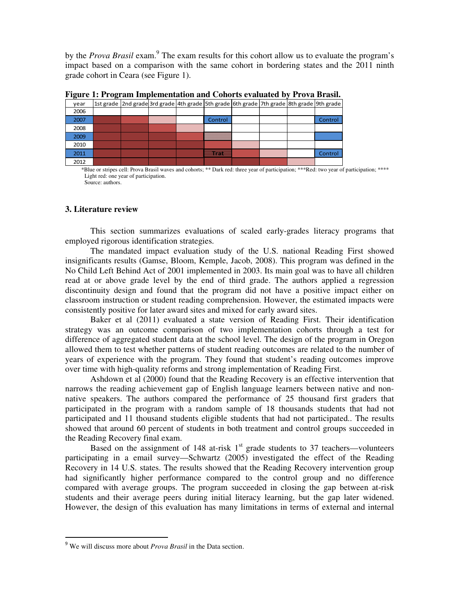by the *Prova Brasil* exam.<sup>9</sup> The exam results for this cohort allow us to evaluate the program's impact based on a comparison with the same cohort in bordering states and the 2011 ninth grade cohort in Ceara (see Figure 1).

| year | 1st grade   2nd grade 3rd grade   4th grade   5th grade   6th grade   7th grade   8th grade   9th grade |  |                |  |         |
|------|---------------------------------------------------------------------------------------------------------|--|----------------|--|---------|
| 2006 |                                                                                                         |  |                |  |         |
| 2007 |                                                                                                         |  | <b>Control</b> |  | Control |
| 2008 |                                                                                                         |  |                |  |         |
| 2009 |                                                                                                         |  |                |  |         |
| 2010 |                                                                                                         |  |                |  |         |
| 2011 |                                                                                                         |  | <b>Maritim</b> |  | Control |
| 2012 |                                                                                                         |  |                |  |         |

**Figure 1: Program Implementation and Cohorts evaluated by Prova Brasil.** 

\*Blue or stripes cell: Prova Brasil waves and cohorts; \*\* Dark red: three year of participation; \*\*\*Red: two year of participation; \*\*\*\* Light red: one year of participation. Source: authors.

#### **3. Literature review**

This section summarizes evaluations of scaled early-grades literacy programs that employed rigorous identification strategies.

The mandated impact evaluation study of the U.S. national Reading First showed insignificants results (Gamse, Bloom, Kemple, Jacob, 2008). This program was defined in the No Child Left Behind Act of 2001 implemented in 2003. Its main goal was to have all children read at or above grade level by the end of third grade. The authors applied a regression discontinuity design and found that the program did not have a positive impact either on classroom instruction or student reading comprehension. However, the estimated impacts were consistently positive for later award sites and mixed for early award sites.

Baker et al (2011) evaluated a state version of Reading First. Their identification strategy was an outcome comparison of two implementation cohorts through a test for difference of aggregated student data at the school level. The design of the program in Oregon allowed them to test whether patterns of student reading outcomes are related to the number of years of experience with the program. They found that student's reading outcomes improve over time with high-quality reforms and strong implementation of Reading First.

Ashdown et al (2000) found that the Reading Recovery is an effective intervention that narrows the reading achievement gap of English language learners between native and nonnative speakers. The authors compared the performance of 25 thousand first graders that participated in the program with a random sample of 18 thousands students that had not participated and 11 thousand students eligible students that had not participated.. The results showed that around 60 percent of students in both treatment and control groups succeeded in the Reading Recovery final exam.

Based on the assignment of 148 at-risk  $1<sup>st</sup>$  grade students to 37 teachers—volunteers participating in a email survey—Schwartz (2005) investigated the effect of the Reading Recovery in 14 U.S. states. The results showed that the Reading Recovery intervention group had significantly higher performance compared to the control group and no difference compared with average groups. The program succeeded in closing the gap between at-risk students and their average peers during initial literacy learning, but the gap later widened. However, the design of this evaluation has many limitations in terms of external and internal

<sup>9</sup> We will discuss more about *Prova Brasil* in the Data section.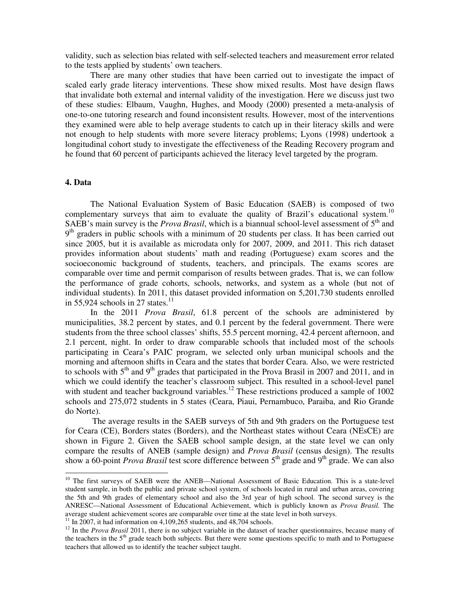validity, such as selection bias related with self-selected teachers and measurement error related to the tests applied by students' own teachers.

There are many other studies that have been carried out to investigate the impact of scaled early grade literacy interventions. These show mixed results. Most have design flaws that invalidate both external and internal validity of the investigation. Here we discuss just two of these studies: Elbaum, Vaughn, Hughes, and Moody (2000) presented a meta-analysis of one-to-one tutoring research and found inconsistent results. However, most of the interventions they examined were able to help average students to catch up in their literacy skills and were not enough to help students with more severe literacy problems; Lyons (1998) undertook a longitudinal cohort study to investigate the effectiveness of the Reading Recovery program and he found that 60 percent of participants achieved the literacy level targeted by the program.

#### **4. Data**

l

The National Evaluation System of Basic Education (SAEB) is composed of two complementary surveys that aim to evaluate the quality of Brazil's educational system.<sup>10</sup> SAEB's main survey is the *Prova Brasil*, which is a biannual school-level assessment of 5<sup>th</sup> and 9<sup>th</sup> graders in public schools with a minimum of 20 students per class. It has been carried out since 2005, but it is available as microdata only for 2007, 2009, and 2011. This rich dataset provides information about students' math and reading (Portuguese) exam scores and the socioeconomic background of students, teachers, and principals. The exams scores are comparable over time and permit comparison of results between grades. That is, we can follow the performance of grade cohorts, schools, networks, and system as a whole (but not of individual students). In 2011, this dataset provided information on 5,201,730 students enrolled in 55,924 schools in 27 states. $11$ 

In the 2011 *Prova Brasil*, 61.8 percent of the schools are administered by municipalities, 38.2 percent by states, and 0.1 percent by the federal government. There were students from the three school classes' shifts, 55.5 percent morning, 42.4 percent afternoon, and 2.1 percent, night. In order to draw comparable schools that included most of the schools participating in Ceara's PAIC program, we selected only urban municipal schools and the morning and afternoon shifts in Ceara and the states that border Ceara. Also, we were restricted to schools with  $5<sup>th</sup>$  and  $9<sup>th</sup>$  grades that participated in the Prova Brasil in 2007 and 2011, and in which we could identify the teacher's classroom subject. This resulted in a school-level panel with student and teacher background variables.<sup>12</sup> These restrictions produced a sample of  $1002$ schools and 275,072 students in 5 states (Ceara, Piaui, Pernambuco, Paraiba, and Rio Grande do Norte).

The average results in the SAEB surveys of 5th and 9th graders on the Portuguese test for Ceara (CE), Borders states (Borders), and the Northeast states without Ceara (NEsCE) are shown in Figure 2. Given the SAEB school sample design, at the state level we can only compare the results of ANEB (sample design) and *Prova Brasil* (census design). The results show a 60-point *Prova Brasil* test score difference between 5<sup>th</sup> grade and 9<sup>th</sup> grade. We can also

<sup>&</sup>lt;sup>10</sup> The first surveys of SAEB were the ANEB—National Assessment of Basic Education. This is a state-level student sample, in both the public and private school system, of schools located in rural and urban areas, covering the 5th and 9th grades of elementary school and also the 3rd year of high school. The second survey is the ANRESC—National Assessment of Educational Achievement, which is publicly known as *Prova Brasil.* The average student achievement scores are comparable over time at the state level in both surveys.

 $11$  In 2007, it had information on 4,109,265 students, and 48,704 schools.

<sup>&</sup>lt;sup>12</sup> In the *Prova Brasil* 2011, there is no subject variable in the dataset of teacher questionnaires, because many of the teachers in the  $5<sup>th</sup>$  grade teach both subjects. But there were some questions specific to math and to Portuguese teachers that allowed us to identify the teacher subject taught.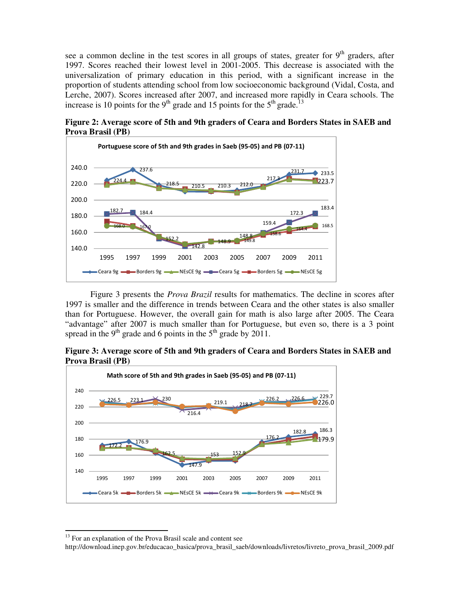see a common decline in the test scores in all groups of states, greater for  $9<sup>th</sup>$  graders, after 1997. Scores reached their lowest level in 2001-2005. This decrease is associated with the universalization of primary education in this period, with a significant increase in the proportion of students attending school from low socioeconomic background (Vidal, Costa, and Lerche, 2007). Scores increased after 2007, and increased more rapidly in Ceara schools. The increase is 10 points for the 9<sup>th</sup> grade and 15 points for the 5<sup>th</sup> grade.<sup>13</sup>



**Figure 2: Average score of 5th and 9th graders of Ceara and Borders States in SAEB and Prova Brasil (PB)** 

 Figure 3 presents the *Prova Brazil* results for mathematics. The decline in scores after 1997 is smaller and the difference in trends between Ceara and the other states is also smaller than for Portuguese. However, the overall gain for math is also large after 2005. The Ceara "advantage" after 2007 is much smaller than for Portuguese, but even so, there is a 3 point spread in the 9<sup>th</sup> grade and 6 points in the  $5<sup>th</sup>$  grade by 2011.

**Figure 3: Average score of 5th and 9th graders of Ceara and Borders States in SAEB and Prova Brasil (PB)** 



<sup>&</sup>lt;sup>13</sup> For an explanation of the Prova Brasil scale and content see

http://download.inep.gov.br/educacao\_basica/prova\_brasil\_saeb/downloads/livretos/livreto\_prova\_brasil\_2009.pdf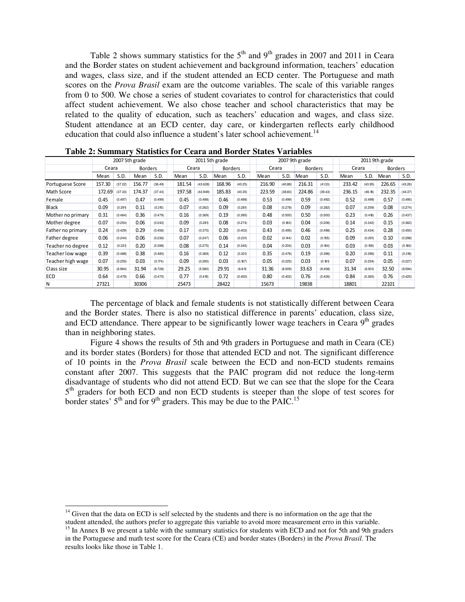Table 2 shows summary statistics for the  $5<sup>th</sup>$  and  $9<sup>th</sup>$  grades in 2007 and 2011 in Ceara and the Border states on student achievement and background information, teachers' education and wages, class size, and if the student attended an ECD center. The Portuguese and math scores on the *Prova Brasil* exam are the outcome variables. The scale of this variable ranges from 0 to 500. We chose a series of student covariates to control for characteristics that could affect student achievement. We also chose teacher and school characteristics that may be related to the quality of education, such as teachers' education and wages, and class size. Student attendance at an ECD center, day care, or kindergarten reflects early childhood education that could also influence a student's later school achievement.<sup>14</sup>

| $\ldots$          |                |         |                |         |        |                |        |                |        |                |        |                |        |         |                |         |
|-------------------|----------------|---------|----------------|---------|--------|----------------|--------|----------------|--------|----------------|--------|----------------|--------|---------|----------------|---------|
|                   | 2007 5th grade |         |                |         |        | 2011 5th grade |        |                |        | 2007 9th grade |        | 2011 9th grade |        |         |                |         |
|                   | Ceara          |         | <b>Borders</b> |         |        | Ceara          |        | <b>Borders</b> |        | Ceara          |        | <b>Borders</b> | Ceara  |         | <b>Borders</b> |         |
|                   | Mean           | S.D.    | Mean           | S.D.    | Mean   | S.D.           | Mean   | S.D.           |        | S.D.           | Mean   | S.D.           | Mean   | S.D.    | Mean           | S.D.    |
| Portuguese Score  | 157.30         | (37.22) | 156.77         | (36.49) | 181.54 | (43.628)       | 168.96 | (40.25)        | 216.90 | (40.88)        | 216.31 | (41.33)        | 233.42 | (43.95) | 226.65         | (43.26) |
| Math Score        | 172.69         | (37.33) | 174.37         | (37.43) | 197.58 | (43.949)       | 185.83 | (40.35)        | 223.59 | (38.83)        | 224.86 | (39.43)        | 236.15 | (46.18) | 232.35         | (44.37) |
| Female            | 0.45           | (0.497) | 0.47           | (0.499) | 0.45   | (0.498)        | 0.46   | (0.498)        | 0.53   | (0.499)        | 0.59   | (0.492)        | 0.52   | (0.499) | 0.57           | (0.495) |
| Black             | 0.09           | (0.291) | 0.11           | (0.315) | 0.07   | (0.262)        | 0.09   | (0.281)        | 0.08   | (0.278)        | 0.09   | (0.282)        | 0.07   | (0.259) | 0.08           | (0.274) |
| Mother no primary | 0.31           | (0.464) | 0.36           | (0.479) | 0.16   | (0.369)        | 0.19   | (0.395)        | 0.48   | (0.500)        | 0.50   | (0.500)        | 0.23   | (0.418) | 0.26           | (0.437) |
| Mother degree     | 0.07           | (0.254) | 0.06           | (0.242) | 0.09   | (0.281)        | 0.08   | (0.274)        | 0.03   | (0.183)        | 0.04   | (0.206)        | 0.14   | (0.342) | 0.15           | (0.362) |
| Father no primary | 0.24           | (0.429) | 0.29           | (0.456) | 0.17   | (0.375)        | 0.20   | (0.402)        | 0.43   | (0.495)        | 0.46   | (0.498)        | 0.25   | (0.434) | 0.28           | (0.450) |
| Father degree     | 0.06           | (0.244) | 0.06           | (0.236) | 0.07   | (0.247)        | 0.06   | (0.231)        | 0.02   | (0.144)        | 0.02   | (0.155)        | 0.09   | (0.291) | 0.10           | (0.298) |
| Teacher no degree | 0.12           | (0.331) | 0.20           | (0.398) | 0.08   | (0.275)        | 0.14   | (0.345)        | 0.04   | (0.204)        | 0.03   | (0.164)        | 0.03   | (0.158) | 0.03           | (0.160) |
| Teacher low wage  | 0.39           | (0.488) | 0.38           | (0.485) | 0.16   | (0.369)        | 0.12   | (0.321)        | 0.35   | (0.476)        | 0.19   | (0.396)        | 0.20   | (0.396) | 0.11           | (0.316) |
| Teacher high wage | 0.07           | (0.255) | 0.03           | (0.174) | 0.09   | (0.290)        | 0.03   | (0.167)        | 0.05   | (0.225)        | 0.03   | (0.181)        | 0.07   | (0.254) | 0.05           | (0.227) |
| Class size        | 30.95          | (6.964) | 31.94          | (8.728) | 29.25  | (5.580)        | 29.91  | (6.611)        | 31.36  | (8.509)        | 33.63  | (9.458)        | 31.34  | (6.931) | 32.50          | (8.594) |
| <b>ECD</b>        | 0.64           | (0.479) | 0.66           | (0.475) | 0.77   | (0.419)        | 0.72   | (0.450)        | 0.80   | (0.402)        | 0.76   | (0.426)        | 0.84   | (0.365) | 0.76           | (0.425) |
| N                 | 27321          |         | 30306          |         | 25473  |                | 28422  |                | 15673  |                | 19838  |                | 18801  |         | 22101          |         |

**Table 2: Summary Statistics for Ceara and Border States Variables** 

The percentage of black and female students is not statistically different between Ceara and the Border states. There is also no statistical difference in parents' education, class size, and ECD attendance. There appear to be significantly lower wage teachers in Ceara 9<sup>th</sup> grades than in neighboring states.

Figure 4 shows the results of 5th and 9th graders in Portuguese and math in Ceara (CE) and its border states (Borders) for those that attended ECD and not. The significant difference of 10 points in the *Prova Brasil* scale between the ECD and non-ECD students remains constant after 2007. This suggests that the PAIC program did not reduce the long-term disadvantage of students who did not attend ECD. But we can see that the slope for the Ceara 5<sup>th</sup> graders for both ECD and non ECD students is steeper than the slope of test scores for border states'  $5<sup>th</sup>$  and for  $9<sup>th</sup>$  graders. This may be due to the PAIC.<sup>15</sup>

l  $14$  Given that the data on ECD is self selected by the students and there is no information on the age that the student attended, the authors prefer to aggregate this variable to avoid more measurement erro in this variable.

<sup>&</sup>lt;sup>15</sup> In Annex B we present a table with the summary statistics for students with ECD and not for 5th and 9th graders in the Portuguese and math test score for the Ceara (CE) and border states (Borders) in the *Prova Brasil*. The results looks like those in Table 1.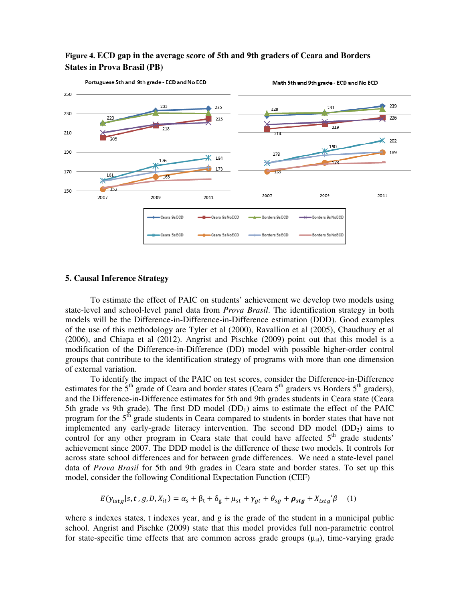

### **Figure 4. ECD gap in the average score of 5th and 9th graders of Ceara and Borders States in Prova Brasil (PB)**

#### **5. Causal Inference Strategy**

To estimate the effect of PAIC on students' achievement we develop two models using state-level and school-level panel data from *Prova Brasil*. The identification strategy in both models will be the Difference-in-Difference-in-Difference estimation (DDD). Good examples of the use of this methodology are Tyler et al (2000), Ravallion et al (2005), Chaudhury et al (2006), and Chiapa et al (2012). Angrist and Pischke (2009) point out that this model is a modification of the Difference-in-Difference (DD) model with possible higher-order control groups that contribute to the identification strategy of programs with more than one dimension of external variation.

To identify the impact of the PAIC on test scores, consider the Difference-in-Difference estimates for the  $5<sup>th</sup>$  grade of Ceara and border states (Ceara  $5<sup>th</sup>$  graders vs Borders  $5<sup>th</sup>$  graders), and the Difference-in-Difference estimates for 5th and 9th grades students in Ceara state (Ceara 5th grade vs 9th grade). The first DD model  $(DD_1)$  aims to estimate the effect of the PAIC program for the  $5<sup>th</sup>$  grade students in Ceara compared to students in border states that have not implemented any early-grade literacy intervention. The second DD model  $(DD<sub>2</sub>)$  aims to control for any other program in Ceara state that could have affected  $5<sup>th</sup>$  grade students' achievement since 2007. The DDD model is the difference of these two models. It controls for across state school differences and for between grade differences. We need a state-level panel data of *Prova Brasil* for 5th and 9th grades in Ceara state and border states. To set up this model, consider the following Conditional Expectation Function (CEF)

$$
E(y_{istg}|s, t, g, D, X_{it}) = \alpha_s + \beta_t + \delta_g + \mu_{st} + \gamma_{gt} + \theta_{sg} + \rho_{stg} + X_{istg}'\beta \quad (1)
$$

where s indexes states, t indexes year, and g is the grade of the student in a municipal public school. Angrist and Pischke (2009) state that this model provides full non-parametric control for state-specific time effects that are common across grade groups  $(\mu_{st})$ , time-varying grade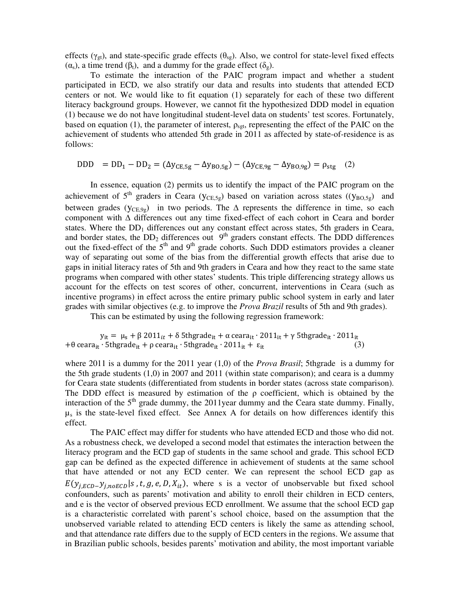effects ( $\gamma_{gt}$ ), and state-specific grade effects ( $\theta_{se}$ ). Also, we control for state-level fixed effects  $(\alpha_s)$ , a time trend  $(\beta_t)$ , and a dummy for the grade effect  $(\delta_g)$ .

To estimate the interaction of the PAIC program impact and whether a student participated in ECD, we also stratify our data and results into students that attended ECD centers or not. We would like to fit equation (1) separately for each of these two different literacy background groups. However, we cannot fit the hypothesized DDD model in equation (1) because we do not have longitudinal student-level data on students' test scores. Fortunately, based on equation (1), the parameter of interest,  $\rho_{\text{sgt}}$ , representing the effect of the PAIC on the achievement of students who attended 5th grade in 2011 as affected by state-of-residence is as follows:

 $DDD = DD_1 - DD_2 = (\Delta y_{CE, 5g} - \Delta y_{BO, 5g}) - (\Delta y_{CE, 9g} - \Delta y_{BO, 9g}) = \rho_{stg}$  (2)

In essence, equation (2) permits us to identify the impact of the PAIC program on the achievement of 5<sup>th</sup> graders in Ceara ( $y_{CE,5g}$ ) based on variation across states (( $y_{BO,5g}$ ) and between grades ( $y_{CE,9g}$ ) in two periods. The  $\Delta$  represents the difference in time, so each component with ∆ differences out any time fixed-effect of each cohort in Ceara and border states. Where the  $DD_1$  differences out any constant effect across states, 5th graders in Ceara, and border states, the  $DD_2$  differences out  $9<sup>th</sup>$  graders constant effects. The DDD differences out the fixed-effect of the  $5<sup>th</sup>$  and 9<sup>th</sup> grade cohorts. Such DDD estimators provides a cleaner way of separating out some of the bias from the differential growth effects that arise due to gaps in initial literacy rates of 5th and 9th graders in Ceara and how they react to the same state programs when compared with other states' students. This triple differencing strategy allows us account for the effects on test scores of other, concurrent, interventions in Ceara (such as incentive programs) in effect across the entire primary public school system in early and later grades with similar objectives (e.g. to improve the *Prova Brazil* results of 5th and 9th grades).

This can be estimated by using the following regression framework:

y<sub>it</sub> =  $\mu_s + \beta 2011_{it} + \delta 5$ thgrade<sub>it</sub> + α ceara<sub>it</sub> ∙ 2011<sub>it</sub> + γ 5thgrade<sub>it</sub> ∙ 2011<sub>it</sub> +θ ceara<sub>it</sub> ⋅ 5thgrade<sub>it</sub> + ρ ceara<sub>it</sub> ⋅ 5thgrade<sub>it</sub> ⋅ 2011<sub>it</sub> + ε<sub>it</sub>

where 2011 is a dummy for the 2011 year (1,0) of the *Prova Brasil*; 5thgrade is a dummy for the 5th grade students  $(1,0)$  in 2007 and 2011 (within state comparison); and ceara is a dummy for Ceara state students (differentiated from students in border states (across state comparison). The DDD effect is measured by estimation of the  $\rho$  coefficient, which is obtained by the interaction of the  $5<sup>th</sup>$  grade dummy, the 2011year dummy and the Ceara state dummy. Finally,  $\mu_s$  is the state-level fixed effect. See Annex A for details on how differences identify this effect.

The PAIC effect may differ for students who have attended ECD and those who did not. As a robustness check, we developed a second model that estimates the interaction between the literacy program and the ECD gap of students in the same school and grade. This school ECD gap can be defined as the expected difference in achievement of students at the same school that have attended or not any ECD center. We can represent the school ECD gap as  $E(y_{i, ECD} - y_{i, noECD}|s, t, g, e, D, X_{it})$ , where s is a vector of unobservable but fixed school confounders, such as parents' motivation and ability to enroll their children in ECD centers, and e is the vector of observed previous ECD enrollment. We assume that the school ECD gap is a characteristic correlated with parent's school choice, based on the assumption that the unobserved variable related to attending ECD centers is likely the same as attending school, and that attendance rate differs due to the supply of ECD centers in the regions. We assume that in Brazilian public schools, besides parents' motivation and ability, the most important variable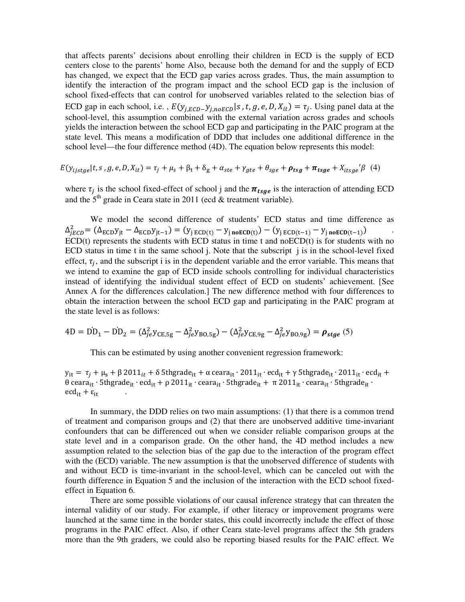that affects parents' decisions about enrolling their children in ECD is the supply of ECD centers close to the parents' home Also, because both the demand for and the supply of ECD has changed, we expect that the ECD gap varies across grades. Thus, the main assumption to identify the interaction of the program impact and the school ECD gap is the inclusion of school fixed-effects that can control for unobserved variables related to the selection bias of ECD gap in each school, i.e.,  $E(y_{j,ECD} - y_{j,noECD}|s, t, g, e, D, X_{it}) = \tau_j$ . Using panel data at the school-level, this assumption combined with the external variation across grades and schools yields the interaction between the school ECD gap and participating in the PAIC program at the state level. This means a modification of DDD that includes one additional difference in the school level—the four difference method (4D). The equation below represents this model:

$$
E(y_{ijstge}|t,s,g,e,D,X_{it}) = \tau_j + \mu_s + \beta_t + \delta_g + \alpha_{ste} + \gamma_{gte} + \theta_{sge} + \rho_{tsg} + \pi_{tsge} + X_{itsge} / \beta
$$
 (4)

where  $\tau_j$  is the school fixed-effect of school j and the  $\pi_{tsg}$  is the interaction of attending ECD and the  $5<sup>th</sup>$  grade in Ceara state in 2011 (ecd & treatment variable).

 We model the second difference of students' ECD status and time difference as  $\Delta_{JECD}^2 = (\Delta_{ECD} y_{jt} - \Delta_{ECD} y_{jt-1}) = (y_{j \, ECD(t)} - y_{j \, \text{no} ECD(t)}) - (y_{j \, ECD(t-1)} - y_{j \, \text{no} ECD(t-1)})$  $ECD(t)$  represents the students with  $ECD$  status in time t and no $ECD(t)$  is for students with no ECD status in time t in the same school j. Note that the subscript j is in the school-level fixed effect,  $\tau_j$ , and the subscript i is in the dependent variable and the error variable. This means that we intend to examine the gap of ECD inside schools controlling for individual characteristics instead of identifying the individual student effect of ECD on students' achievement. [See Annex A for the differences calculation.] The new difference method with four differences to obtain the interaction between the school ECD gap and participating in the PAIC program at the state level is as follows:

$$
4D = DD1 - DD2 = (\Deltaje2 yCE,5g - \Deltaje2 yBO,5g) - (\Deltaje2 yCE,9g - \Deltaje2 yBO,9g) = \rhostge
$$
(5)

This can be estimated by using another convenient regression framework:

 $y_{it} = \tau_i + \mu_s + \beta 2011_{it} + \delta 5$ thgrade<sub>it</sub> + α ceara<sub>it</sub> ∙ 2011<sub>it</sub> ∙ ecd<sub>it</sub> + γ 5thgrade<sub>it</sub> ∙ 2011<sub>it</sub> ∙ ecd<sub>it</sub> + θ ceara<sub>it</sub> ⋅ 5thgrade<sub>it</sub> ⋅ ecd<sub>it</sub> + ρ 2011<sub>it</sub> ⋅ ceara<sub>it</sub> ⋅ 5thgrade<sub>it</sub> +  $\pi$  2011<sub>it</sub> ⋅ ceara<sub>it</sub> ⋅ 5thgrade<sub>it</sub> ⋅  $\text{ecd}_{it} + \varepsilon_{it}$ 

In summary, the DDD relies on two main assumptions: (1) that there is a common trend of treatment and comparison groups and (2) that there are unobserved additive time-invariant confounders that can be differenced out when we consider reliable comparison groups at the state level and in a comparison grade. On the other hand, the 4D method includes a new assumption related to the selection bias of the gap due to the interaction of the program effect with the (ECD) variable. The new assumption is that the unobserved difference of students with and without ECD is time-invariant in the school-level, which can be canceled out with the fourth difference in Equation 5 and the inclusion of the interaction with the ECD school fixedeffect in Equation 6.

There are some possible violations of our causal inference strategy that can threaten the internal validity of our study. For example, if other literacy or improvement programs were launched at the same time in the border states, this could incorrectly include the effect of those programs in the PAIC effect. Also, if other Ceara state-level programs affect the 5th graders more than the 9th graders, we could also be reporting biased results for the PAIC effect. We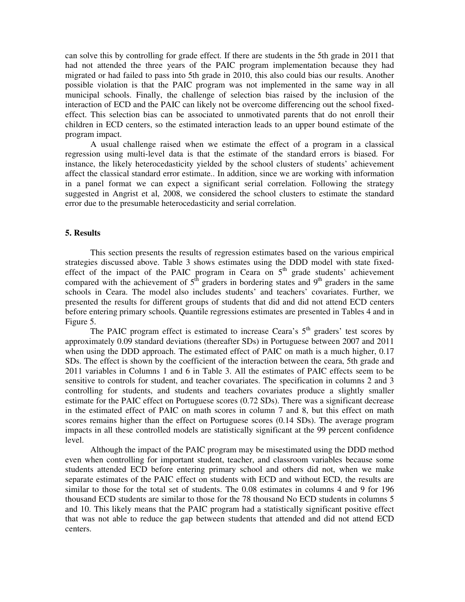can solve this by controlling for grade effect. If there are students in the 5th grade in 2011 that had not attended the three years of the PAIC program implementation because they had migrated or had failed to pass into 5th grade in 2010, this also could bias our results. Another possible violation is that the PAIC program was not implemented in the same way in all municipal schools. Finally, the challenge of selection bias raised by the inclusion of the interaction of ECD and the PAIC can likely not be overcome differencing out the school fixedeffect. This selection bias can be associated to unmotivated parents that do not enroll their children in ECD centers, so the estimated interaction leads to an upper bound estimate of the program impact.

 A usual challenge raised when we estimate the effect of a program in a classical regression using multi-level data is that the estimate of the standard errors is biased. For instance, the likely heterocedasticity yielded by the school clusters of students' achievement affect the classical standard error estimate.. In addition, since we are working with information in a panel format we can expect a significant serial correlation. Following the strategy suggested in Angrist et al, 2008, we considered the school clusters to estimate the standard error due to the presumable heterocedasticity and serial correlation.

#### **5. Results**

This section presents the results of regression estimates based on the various empirical strategies discussed above. Table 3 shows estimates using the DDD model with state fixedeffect of the impact of the PAIC program in Ceara on  $5<sup>th</sup>$  grade students' achievement compared with the achievement of  $5<sup>th</sup>$  graders in bordering states and 9<sup>th</sup> graders in the same schools in Ceara. The model also includes students' and teachers' covariates. Further, we presented the results for different groups of students that did and did not attend ECD centers before entering primary schools. Quantile regressions estimates are presented in Tables 4 and in Figure 5.

The PAIC program effect is estimated to increase Ceara's  $5<sup>th</sup>$  graders' test scores by approximately 0.09 standard deviations (thereafter SDs) in Portuguese between 2007 and 2011 when using the DDD approach. The estimated effect of PAIC on math is a much higher, 0.17 SDs. The effect is shown by the coefficient of the interaction between the ceara, 5th grade and 2011 variables in Columns 1 and 6 in Table 3. All the estimates of PAIC effects seem to be sensitive to controls for student, and teacher covariates. The specification in columns 2 and 3 controlling for students, and students and teachers covariates produce a slightly smaller estimate for the PAIC effect on Portuguese scores (0.72 SDs). There was a significant decrease in the estimated effect of PAIC on math scores in column 7 and 8, but this effect on math scores remains higher than the effect on Portuguese scores (0.14 SDs). The average program impacts in all these controlled models are statistically significant at the 99 percent confidence level.

Although the impact of the PAIC program may be misestimated using the DDD method even when controlling for important student, teacher, and classroom variables because some students attended ECD before entering primary school and others did not, when we make separate estimates of the PAIC effect on students with ECD and without ECD, the results are similar to those for the total set of students. The 0.08 estimates in columns 4 and 9 for 196 thousand ECD students are similar to those for the 78 thousand No ECD students in columns 5 and 10. This likely means that the PAIC program had a statistically significant positive effect that was not able to reduce the gap between students that attended and did not attend ECD centers.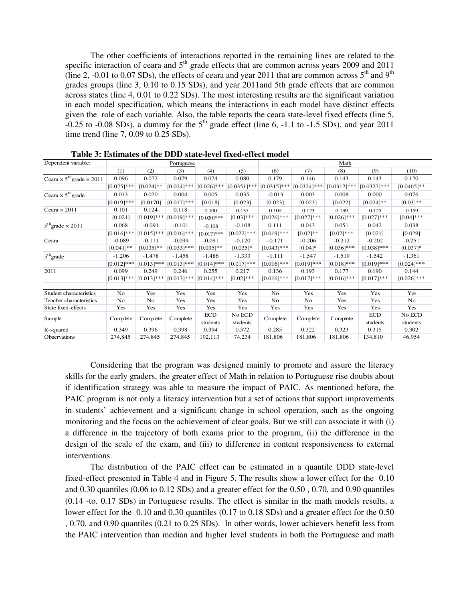The other coefficients of interactions reported in the remaining lines are related to the specific interaction of ceara and  $5<sup>th</sup>$  grade effects that are common across years 2009 and 2011 (line 2, -0.01 to 0.07 SDs), the effects of ceara and year 2011 that are common across  $5<sup>th</sup>$  and 9<sup>th</sup> grades groups (line 3, 0.10 to 0.15 SDs), and year 2011and 5th grade effects that are common across states (line 4, 0.01 to 0.22 SDs). The most interesting results are the significant variation in each model specification, which means the interactions in each model have distinct effects given the role of each variable. Also, the table reports the ceara state-level fixed effects (line 5,  $-0.25$  to  $-0.08$  SDs), a dummy for the  $5<sup>th</sup>$  grade effect (line 6,  $-1.1$  to  $-1.5$  SDs), and year 2011 time trend (line 7, 0.09 to 0.25 SDs).

| Dependent variable:                                |               |                | Portuguese    |               |                | Math           |                |                |               |               |  |  |  |  |
|----------------------------------------------------|---------------|----------------|---------------|---------------|----------------|----------------|----------------|----------------|---------------|---------------|--|--|--|--|
|                                                    | (1)           | (2)            | (3)           | (4)           | (5)            | (6)            | (7)            | (8)            | (9)           | (10)          |  |  |  |  |
| Ceara $\times$ 5 <sup>th</sup> grade $\times$ 2011 | 0.096         | 0.072          | 0.079         | 0.074         | 0.080          | 0.179          | 0.146          | 0.143          | 0.143         | 0.120         |  |  |  |  |
|                                                    | $[0.025]$ *** | $[0.024]$ **   | $[0.024]$ *** | $[0.026]$ *** | $[0.0351]$ *** | $[0.0315]$ *** | $[0.0324]$ *** | $[0.0312]$ *** | $[0.0327]***$ | $[0.0465]$ ** |  |  |  |  |
| Ceara $\times$ 5 <sup>th</sup> grade               | 0.013         | 0.020          | 0.004         | 0.005         | 0.035          | $-0.013$       | 0.003          | 0.008          | 0.000         | 0.076         |  |  |  |  |
|                                                    | $[0.019]$ *** | [0.0170]       | $[0.017]***$  | [0.018]       | [0.023]        | [0.023]        | [0.023]        | [0.022]        | $[0.024]$ **  | $[0.03]$ **   |  |  |  |  |
| Ceara $\times$ 2011                                | 0.101         | 0.124          | 0.118         | 0.100         | 0.137          | 0.100          | 0.123          | 0.139          | 0.125         | 0.159         |  |  |  |  |
|                                                    | [0.021]       | $[0.019]$ ***  | $[0.019]$ *** | $[0.020]$ *** | $[0.03]$ ***   | $[0.026]$ ***  | $[0.027]***$   | $[0.026]$ ***  | $[0.027]$ *** | $[0.04]$ ***  |  |  |  |  |
| $5th$ grade $\times$ 2011                          | 0.068         | $-0.091$       | $-0.101$      | $-0.108$      | $-0.108$       | 0.111          | 0.043          | 0.051          | 0.042         | 0.038         |  |  |  |  |
|                                                    | $[0.016]$ *** | $[0.015]$ ***  | $[0.016]$ *** | $[0.017]$ *** | $[0.022]$ ***  | $[0.019]$ ***  | $[0.02]$ **    | $[0.02]$ ***   | [0.021]       | [0.029]       |  |  |  |  |
| Ceara                                              | $-0.089$      | $-0.111$       | $-0.099$      | $-0.091$      | $-0.120$       | $-0.171$       | $-0.206$       | $-0.212$       | $-0.202$      | $-0.251$      |  |  |  |  |
|                                                    | $[0.041]$ **  | $[0.035]^{**}$ | $[0.033]$ *** | $[0.035]$ **  | $[0.035]$ *    | $[0.043]$ ***  | $[0.04]*$      | $[0.036]$ ***  | $[0.038]$ *** | $[0.037]$ *   |  |  |  |  |
| $5th$ grade                                        | $-1.206$      | $-1.478$       | $-1.458$      | $-1.486$      | $-1.333$       | $-1.111$       | $-1.547$       | $-1.519$       | $-1.542$      | $-1.361$      |  |  |  |  |
|                                                    | $[0.012]$ *** | $[0.013]$ ***  | $[0.013]$ *** | $[0.014]$ *** | $[0.017]***$   | $[0.016]$ ***  | $[0.019]$ ***  | $[0.018]$ ***  | $[0.019]$ *** | $[0.024]$ *** |  |  |  |  |
| 2011                                               | 0.099         | 0.249          | 0.246         | 0.255         | 0.217          | 0.136          | 0.193          | 0.177          | 0.190         | 0.144         |  |  |  |  |
|                                                    | $[0.013]***$  | $[0.013]$ ***  | $[0.013]$ *** | $[0.014]$ *** | $[0.02]$ ***   | $[0.016]$ ***  | $[0.017]***$   | $[0.016]$ ***  | $[0.017]***$  | $[0.026]$ *** |  |  |  |  |
|                                                    |               |                |               |               |                |                |                |                |               |               |  |  |  |  |
| Student characteristics                            | No            | Yes            | Yes           | Yes           | Yes            | No             | Yes            | Yes            | Yes           | Yes           |  |  |  |  |
| Teacher characteristics                            | No            | No             | Yes           | Yes           | Yes            | No             | No             | Yes            | Yes           | No            |  |  |  |  |
| State fixed-effects                                | Yes           | Yes            | Yes           | Yes           | Yes            | Yes            | Yes            | Yes            | Yes           | Yes           |  |  |  |  |
| Sample                                             | Complete      | Complete       | Complete      | <b>ECD</b>    | No ECD         | Complete       | Complete       | Complete       | <b>ECD</b>    | No ECD        |  |  |  |  |
|                                                    |               |                |               | students      | students       |                |                |                | students      | students      |  |  |  |  |
| R-squared                                          | 0.349         | 0.396          | 0.398         | 0.394         | 0.372          | 0.285          | 0.322          | 0.323          | 0.315         | 0.302         |  |  |  |  |
| Observations                                       | 274,845       | 274,845        | 274,845       | 192,113       | 74,234         | 181,806        | 181,806        | 181,806        | 134,810       | 46,954        |  |  |  |  |

**Table 3: Estimates of the DDD state-level fixed-effect model** 

 Considering that the program was designed mainly to promote and assure the literacy skills for the early graders, the greater effect of Math in relation to Portuguese rise doubts about if identification strategy was able to measure the impact of PAIC. As mentioned before, the PAIC program is not only a literacy intervention but a set of actions that support improvements in students' achievement and a significant change in school operation, such as the ongoing monitoring and the focus on the achievement of clear goals. But we still can associate it with (i) a difference in the trajectory of both exams prior to the program, (ii) the difference in the design of the scale of the exam, and (iii) to difference in content responsiveness to external interventions.

The distribution of the PAIC effect can be estimated in a quantile DDD state-level fixed-effect presented in Table 4 and in Figure 5. The results show a lower effect for the 0.10 and 0.30 quantiles (0.06 to 0.12 SDs) and a greater effect for the 0.50 , 0.70, and 0.90 quantiles (0.14 -to. 0.17 SDs) in Portuguese results. The effect is similar in the math models results, a lower effect for the 0.10 and 0.30 quantiles (0.17 to 0.18 SDs) and a greater effect for the 0.50 , 0.70, and 0.90 quantiles (0.21 to 0.25 SDs). In other words, lower achievers benefit less from the PAIC intervention than median and higher level students in both the Portuguese and math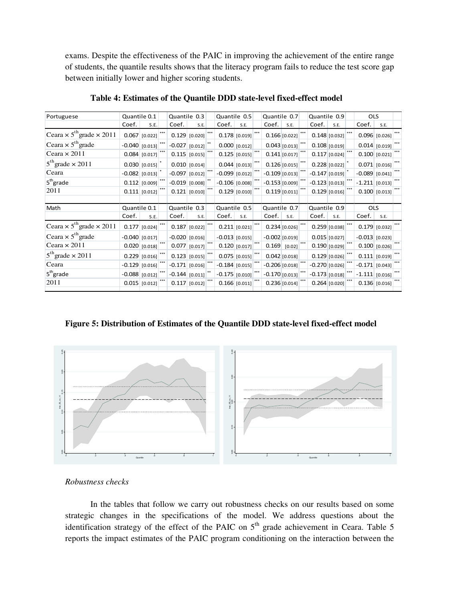exams. Despite the effectiveness of the PAIC in improving the achievement of the entire range of students, the quantile results shows that the literacy program fails to reduce the test score gap between initially lower and higher scoring students.

| Portuguese                                         | Quantile 0.1 |                  | Quantile 0.3     |                  | Quantile 0.5     |                 | Quantile 0.7     |                 |              |                  | Quantile 0.9    |  | <b>OLS</b>       |                 |  |
|----------------------------------------------------|--------------|------------------|------------------|------------------|------------------|-----------------|------------------|-----------------|--------------|------------------|-----------------|--|------------------|-----------------|--|
|                                                    | Coef.        | S.E.             | Coef.            | S.E.             | Coef.            | S.E.            | Coef.            | S.E.            |              | Coef.            | S.E.            |  | Coef.            | S.E.            |  |
| Ceara $\times$ 5 <sup>th</sup> grade $\times$ 2011 |              | $0.067$ [0.022]  |                  | $0.129$ [0.020]  |                  | $0.178$ [0.019] |                  | $0.166$ [0.022] |              |                  | $0.148$ [0.032] |  |                  | 0.096 0.026     |  |
| Ceara $\times$ 5 <sup>th</sup> grade               |              | $-0.040$ [0.013] |                  | $-0.027$ [0.012] |                  | $0.000$ [0.012] |                  | $0.043$ [0.013] |              |                  | $0.108$ [0.019] |  |                  | $0.014$ [0.019] |  |
| Ceara $\times$ 2011                                |              | $0.084$ [0.017]  |                  | 0.115 0.015      |                  | 0.125 0.015     |                  | $0.141$ [0.017] |              |                  | $0.117$ [0.024] |  | 0.100   [0.021]  |                 |  |
| $5^{\text{th}}$ grade × 2011                       |              | $0.030$ [0.015]  |                  | $0.010$ [0.014]  |                  | $0.044$ [0.013] |                  | $0.126$ [0.015] |              |                  | $0.228$ [0.022] |  |                  | $0.071$ [0.016] |  |
| Ceara                                              |              | $-0.082$ [0.013] | $-0.097$ [0.012] |                  | $-0.099$ [0.012] |                 | $-0.109$ [0.013] |                 |              | $-0.147$ [0.019] |                 |  | $-0.089$ [0.041] |                 |  |
| $5th$ grade                                        |              | $0.112$ [0.009]  | $-0.019$ [0.008] |                  | $-0.106$ [0.008] |                 | $-0.153$ [0.009] |                 |              | $-0.123 0.013 $  |                 |  | $-1.211$ [0.013] |                 |  |
| 2011                                               |              | $0.111$ [0.012]  |                  | $0.121$ [0.010]  |                  | 0.129 0.010     |                  | 0.119[0.011]    |              |                  | $0.129$ [0.016] |  |                  | 0.100   [0.013] |  |
|                                                    |              |                  |                  |                  |                  |                 |                  |                 |              |                  |                 |  |                  |                 |  |
| Math                                               |              | Quantile 0.1     | Quantile 0.3     |                  | Quantile 0.5     |                 | Quantile 0.7     |                 | Quantile 0.9 |                  |                 |  | <b>OLS</b>       |                 |  |
|                                                    | Coef.        | S.E.             | Coef.            | S.E.             | Coef.            | S.E.            | Coef.            | S.E.            |              | Coef.            | S.E.            |  | Coef.            | S.E.            |  |
| Ceara $\times$ 5 <sup>th</sup> grade $\times$ 2011 |              | $0.177$ [0.024]  |                  | $0.187$ [0.022]  |                  | $0.211$ [0.021] |                  | $0.234$ [0.026] |              |                  | $0.259$ [0.038] |  |                  | $0.179$ [0.032] |  |
| Ceara $\times$ 5 <sup>th</sup> grade               |              | $-0.040$ [0.017] |                  | $-0.020$ [0.016] | $-0.013$ [0.015] |                 | $-0.002$ [0.019] |                 |              |                  | $0.015$ [0.027] |  | $-0.013$ [0.023] |                 |  |
| Ceara $\times$ 2011                                |              | $0.020$ [0.018]  |                  | $0.077$ [0.017]  |                  | $0.120$ [0.017] |                  | $0.169$ [0.02]  |              |                  | 0.190 0.029     |  |                  | $0.100$ [0.026] |  |
| $5^{\text{th}}$ grade $\times 2011$                |              | $0.229$ [0.016]  |                  | $0.123$ [0.015]  |                  | $0.075$ [0.015] |                  | $0.042$ [0.018] |              |                  | $0.129$ [0.026] |  |                  | $0.111$ [0.019] |  |
| Ceara                                              |              | $-0.129$ [0.016] | $-0.171$ [0.016] |                  | $-0.184$ [0.015] |                 | $-0.206$ [0.018] |                 |              | $-0.270$ [0.026] |                 |  | $-0.171$ [0.043] |                 |  |
| 5 <sup>th</sup> grade                              |              | $-0.088$ [0.012] | $-0.144$ [0.011] |                  | $-0.175$ [0.010] |                 | $-0.170$ [0.013] |                 |              | $-0.173$ [0.018] |                 |  | $-1.111$ [0.016] |                 |  |
| 2011                                               |              | $0.015$ [0.012]  |                  | $0.117$ [0.012]  |                  | 0.166 0.011     |                  | 0.236 0.014]    |              |                  | $0.264$ [0.020] |  |                  | 0.136 0.016     |  |

**Table 4: Estimates of the Quantile DDD state-level fixed-effect model** 

**Figure 5: Distribution of Estimates of the Quantile DDD state-level fixed-effect model** 



*Robustness checks* 

In the tables that follow we carry out robustness checks on our results based on some strategic changes in the specifications of the model. We address questions about the identification strategy of the effect of the PAIC on  $5<sup>th</sup>$  grade achievement in Ceara. Table 5 reports the impact estimates of the PAIC program conditioning on the interaction between the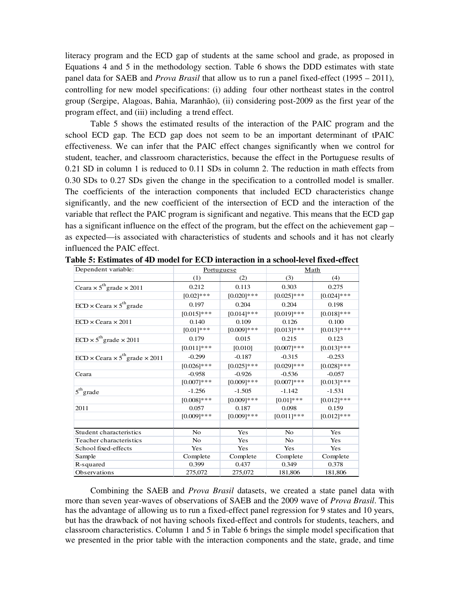literacy program and the ECD gap of students at the same school and grade, as proposed in Equations 4 and 5 in the methodology section. Table 6 shows the DDD estimates with state panel data for SAEB and *Prova Brasil* that allow us to run a panel fixed-effect (1995 – 2011), controlling for new model specifications: (i) adding four other northeast states in the control group (Sergipe, Alagoas, Bahia, Maranhão), (ii) considering post-2009 as the first year of the program effect, and (iii) including a trend effect.

Table 5 shows the estimated results of the interaction of the PAIC program and the school ECD gap. The ECD gap does not seem to be an important determinant of tPAIC effectiveness. We can infer that the PAIC effect changes significantly when we control for student, teacher, and classroom characteristics, because the effect in the Portuguese results of 0.21 SD in column 1 is reduced to 0.11 SDs in column 2. The reduction in math effects from 0.30 SDs to 0.27 SDs given the change in the specification to a controlled model is smaller. The coefficients of the interaction components that included ECD characteristics change significantly, and the new coefficient of the intersection of ECD and the interaction of the variable that reflect the PAIC program is significant and negative. This means that the ECD gap has a significant influence on the effect of the program, but the effect on the achievement gap – as expected—is associated with characteristics of students and schools and it has not clearly influenced the PAIC effect.

| Dependent variable:                                  |                | Portuguese    | <b>Math</b>   |               |  |  |
|------------------------------------------------------|----------------|---------------|---------------|---------------|--|--|
|                                                      | (1)            | (2)           | (3)           | (4)           |  |  |
| Ceara $\times$ 5 <sup>th</sup> grade $\times$ 2011   | 0.212          | 0.113         | 0.303         | 0.275         |  |  |
|                                                      | $[0.02]$ ***   | $[0.020]$ *** | $[0.025]$ *** | $[0.024]$ *** |  |  |
| $ECD \times Ceara \times 5^{th}$ grade               | 0.197          | 0.204         | 0.204         | 0.198         |  |  |
|                                                      | $[0.015]$ ***  | $[0.014]***$  | $[0.019]***$  | $[0.018]***$  |  |  |
| $ECD \times Ceara \times 2011$                       | 0.140          | 0.109         | 0.126         | 0.100         |  |  |
|                                                      | $[0.01]***$    | $[0.009]$ *** | $[0.013]***$  | $[0.013]***$  |  |  |
| $ECD \times 5^{th}$ grade $\times 2011$              | 0.179          | 0.015         | 0.215         | 0.123         |  |  |
|                                                      | $[0.011]$ ***  | [0.010]       | $[0.007]***$  | $[0.013]***$  |  |  |
| $ECD \times Ceara \times 5^{th}$ grade $\times 2011$ | $-0.299$       | $-0.187$      | $-0.315$      | $-0.253$      |  |  |
|                                                      | $[0.026]$ ***  | $[0.025]$ *** | $[0.029]$ *** | $[0.028]$ *** |  |  |
| Ceara                                                | $-0.958$       | $-0.926$      | $-0.536$      | $-0.057$      |  |  |
|                                                      | $[0.007]***$   | $[0.009]***$  | $[0.007]***$  | $[0.013]***$  |  |  |
| $5th$ grade                                          | $-1.256$       | $-1.505$      | $-1.142$      | $-1.531$      |  |  |
|                                                      | $[0.008]$ ***  | $[0.009]$ *** | $[0.01]***$   | $[0.012]$ *** |  |  |
| 2011                                                 | 0.057          | 0.187         | 0.098         | 0.159         |  |  |
|                                                      | $[0.009]***$   | $[0.009]***$  | $[0.011]***$  | $[0.012]$ *** |  |  |
|                                                      |                |               |               |               |  |  |
| Student characteristics                              | N <sub>o</sub> | Yes           | No            | Yes           |  |  |
| Teacher characteristics                              | N <sub>o</sub> | Yes           | No            | Yes           |  |  |
| School fixed-effects                                 | Yes            | Yes           | Yes           | Yes           |  |  |
| Sample                                               | Complete       | Complete      | Complete      | Complete      |  |  |
| R-squared                                            | 0.399          | 0.437         | 0.349         | 0.378         |  |  |
| Observations                                         | 275,072        | 275,072       | 181,806       | 181,806       |  |  |

**Table 5: Estimates of 4D model for ECD interaction in a school-level fixed-effect** 

Combining the SAEB and *Prova Brasil* datasets, we created a state panel data with more than seven year-waves of observations of SAEB and the 2009 wave of *Prova Brasil*. This has the advantage of allowing us to run a fixed-effect panel regression for 9 states and 10 years, but has the drawback of not having schools fixed-effect and controls for students, teachers, and classroom characteristics. Column 1 and 5 in Table 6 brings the simple model specification that we presented in the prior table with the interaction components and the state, grade, and time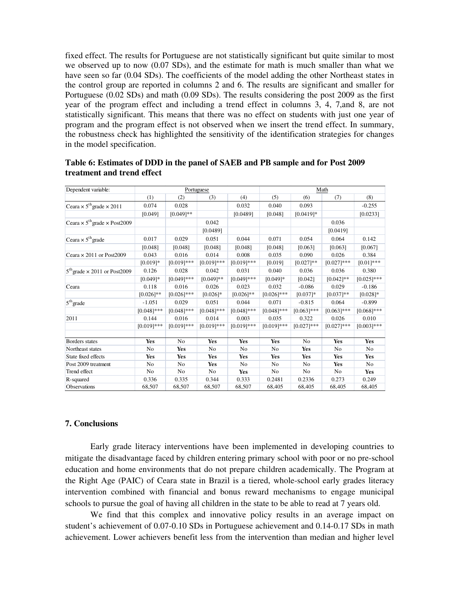fixed effect. The results for Portuguese are not statistically significant but quite similar to most we observed up to now (0.07 SDs), and the estimate for math is much smaller than what we have seen so far (0.04 SDs). The coefficients of the model adding the other Northeast states in the control group are reported in columns 2 and 6. The results are significant and smaller for Portuguese (0.02 SDs) and math (0.09 SDs). The results considering the post 2009 as the first year of the program effect and including a trend effect in columns 3, 4, 7,and 8, are not statistically significant. This means that there was no effect on students with just one year of program and the program effect is not observed when we insert the trend effect. In summary, the robustness check has highlighted the sensitivity of the identification strategies for changes in the model specification.

| Dependent variable:                                    |                |                | Portuguese    |                | Math          |                |                |                |  |  |  |
|--------------------------------------------------------|----------------|----------------|---------------|----------------|---------------|----------------|----------------|----------------|--|--|--|
|                                                        | (1)            | (2)            | (3)           | (4)            | (5)           | (6)            | (7)            | (8)            |  |  |  |
| Ceara $\times$ 5 <sup>th</sup> grade $\times$ 2011     | 0.074          | 0.028          |               | 0.032          | 0.040         | 0.093          |                | $-0.255$       |  |  |  |
|                                                        | [0.049]        | $[0.049]$ **   |               | [0.0489]       | [0.048]       | $[0.0419]*$    |                | [0.0233]       |  |  |  |
| Ceara $\times$ 5 <sup>th</sup> grade $\times$ Post2009 |                |                | 0.042         |                |               |                | 0.036          |                |  |  |  |
|                                                        |                |                | [0.0489]      |                |               |                | [0.0419]       |                |  |  |  |
| Ceara $\times$ 5 <sup>th</sup> grade                   | 0.017          | 0.029          | 0.051         | 0.044          | 0.071         | 0.054          | 0.064          | 0.142          |  |  |  |
|                                                        | [0.048]        | [0.048]        | [0.048]       | [0.048]        | [0.048]       | [0.063]        | [0.063]        | [0.067]        |  |  |  |
| Ceara $\times$ 2011 or Post2009                        | 0.043          | 0.016          | 0.014         | 0.008          | 0.035         | 0.090          | 0.026          | 0.384          |  |  |  |
|                                                        | $[0.019]*$     | $[0.019]***$   | $[0.019]***$  | $[0.019]***$   | [0.019]       | $[0.027]**$    | $[0.027]***$   | $[0.01]$ ***   |  |  |  |
| $5^{\text{th}}$ grade $\times$ 2011 or Post2009        | 0.126          | 0.028          | 0.042         | 0.031          | 0.040         | 0.036          | 0.036          | 0.380          |  |  |  |
|                                                        | $[0.049]*$     | $[0.049]$ ***  | $[0.049]**$   | $[0.049]$ ***  | $[0.049]*$    | [0.042]        | $[0.042]$ **   | $[0.025]$ ***  |  |  |  |
| Ceara                                                  | 0.118          | 0.016          | 0.026         | 0.023          | 0.032         | $-0.086$       | 0.029          | $-0.186$       |  |  |  |
|                                                        | $[0.026]$ **   | $[0.026]$ ***  | $[0.026]$ *   | $[0.026]$ **   | $[0.026]$ *** | $[0.037]*$     | $[0.037]**$    | $[0.028]$ *    |  |  |  |
| $5th$ grade                                            | $-1.051$       | 0.029          | 0.051         | 0.044          | 0.071         | $-0.815$       | 0.064          | $-0.899$       |  |  |  |
|                                                        | $[0.048]$ ***  | $[0.048]$ ***  | $[0.048]$ *** | $[0.048]$ ***  | $[0.048]$ *** | $[0.063]$ ***  | $[0.063]$ ***  | $[0.068]$ ***  |  |  |  |
| 2011                                                   | 0.144          | 0.016          | 0.014         | 0.003          | 0.035         | 0.322          | 0.026          | 0.010          |  |  |  |
|                                                        | $[0.019]$ ***  | $[0.019]***$   | $[0.019]$ *** | $[0.019]***$   | $[0.019]***$  | $[0.027]***$   | $[0.027]***$   | $[0.003]***$   |  |  |  |
|                                                        |                |                |               |                |               |                |                |                |  |  |  |
| Borders states                                         | Yes            | N <sub>o</sub> | Yes           | Yes            | Yes           | N <sub>0</sub> | Yes            | Yes            |  |  |  |
| Northeast states                                       | N <sub>0</sub> | Yes            | No            | N <sub>0</sub> | No            | Yes            | N <sub>0</sub> | N <sub>o</sub> |  |  |  |
| State fixed effects                                    | <b>Yes</b>     | Yes            | Yes           | Yes            | Yes           | <b>Yes</b>     | Yes            | Yes            |  |  |  |
| Post 2009 treatment                                    | No             | No             | Yes           | No             | No            | No             | Yes            | No             |  |  |  |
| Trend effect                                           | N <sub>o</sub> | No             | No            | <b>Yes</b>     | No            | No             | No             | Yes            |  |  |  |
| R-squared                                              | 0.336          | 0.335          | 0.344         | 0.333          | 0.2481        | 0.2336         | 0.273          | 0.249          |  |  |  |
| <b>Observations</b>                                    | 68,507         | 68,507         | 68,507        | 68,507         | 68,405        | 68,405         | 68,405         | 68,405         |  |  |  |

**Table 6: Estimates of DDD in the panel of SAEB and PB sample and for Post 2009 treatment and trend effect** 

#### **7. Conclusions**

Early grade literacy interventions have been implemented in developing countries to mitigate the disadvantage faced by children entering primary school with poor or no pre-school education and home environments that do not prepare children academically. The Program at the Right Age (PAIC) of Ceara state in Brazil is a tiered, whole-school early grades literacy intervention combined with financial and bonus reward mechanisms to engage municipal schools to pursue the goal of having all children in the state to be able to read at 7 years old.

We find that this complex and innovative policy results in an average impact on student's achievement of 0.07-0.10 SDs in Portuguese achievement and 0.14-0.17 SDs in math achievement. Lower achievers benefit less from the intervention than median and higher level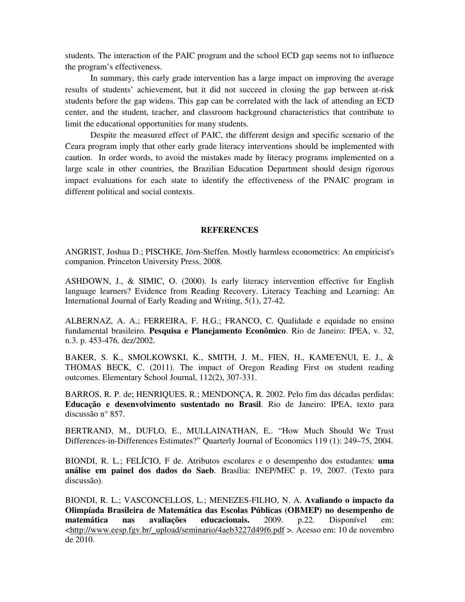students. The interaction of the PAIC program and the school ECD gap seems not to influence the program's effectiveness.

In summary, this early grade intervention has a large impact on improving the average results of students' achievement, but it did not succeed in closing the gap between at-risk students before the gap widens. This gap can be correlated with the lack of attending an ECD center, and the student, teacher, and classroom background characteristics that contribute to limit the educational opportunities for many students.

Despite the measured effect of PAIC, the different design and specific scenario of the Ceara program imply that other early grade literacy interventions should be implemented with caution. In order words, to avoid the mistakes made by literacy programs implemented on a large scale in other countries, the Brazilian Education Department should design rigorous impact evaluations for each state to identify the effectiveness of the PNAIC program in different political and social contexts.

#### **REFERENCES**

ANGRIST, Joshua D.; PISCHKE, Jörn-Steffen. Mostly harmless econometrics: An empiricist's companion. Princeton University Press, 2008.

ASHDOWN, J., & SIMIC, O. (2000). Is early literacy intervention effective for English language learners? Evidence from Reading Recovery. Literacy Teaching and Learning: An International Journal of Early Reading and Writing, 5(1), 27-42.

ALBERNAZ, A. A.; FERREIRA, F. H.G.; FRANCO, C. Qualidade e equidade no ensino fundamental brasileiro. **Pesquisa e Planejamento Econômico**. Rio de Janeiro: IPEA, v. 32, n.3. p. 453-476, dez/2002.

BAKER, S. K., SMOLKOWSKI, K., SMITH, J. M., FIEN, H., KAME'ENUI, E. J., & THOMAS BECK, C. (2011). The impact of Oregon Reading First on student reading outcomes. Elementary School Journal, 112(2), 307-331.

BARROS, R. P. de; HENRIQUES, R.; MENDONÇA, R. 2002. Pelo fim das décadas perdidas: **Educação e desenvolvimento sustentado no Brasil**. Rio de Janeiro: IPEA, texto para discussão n° 857.

BERTRAND, M., DUFLO, E., MULLAINATHAN, E.. "How Much Should We Trust Differences-in-Differences Estimates?" Quarterly Journal of Economics 119 (1): 249–75, 2004.

BIONDI, R. L.; FELÍCIO, F de. Atributos escolares e o desempenho dos estudantes: **uma análise em painel dos dados do Saeb**. Brasília: INEP/MEC p. 19, 2007. (Texto para discussão).

BIONDI, R. L.; VASCONCELLOS, L.; MENEZES-FILHO, N. A. **Avaliando o impacto da Olimpíada Brasileira de Matemática das Escolas Públicas (OBMEP) no desempenho de matemática nas avaliações educacionais.** 2009. p.22. Disponível em: <http://www.eesp.fgv.br/\_upload/seminario/4aeb3227d49f6.pdf >. Acesso em: 10 de novembro de 2010.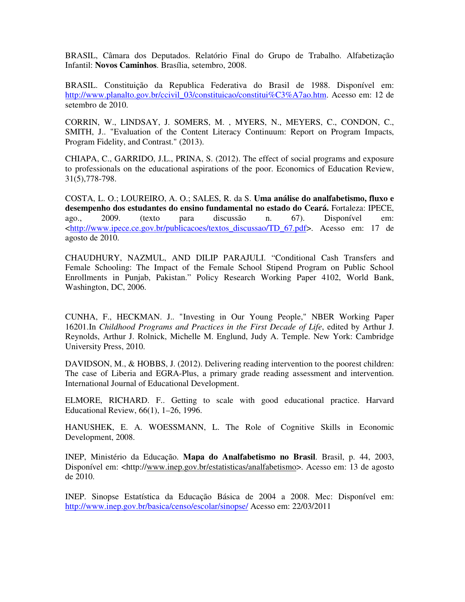BRASIL, Câmara dos Deputados. Relatório Final do Grupo de Trabalho. Alfabetização Infantil: **Novos Caminhos**. Brasília, setembro, 2008.

BRASIL. Constituição da Republica Federativa do Brasil de 1988. Disponível em: http://www.planalto.gov.br/ccivil\_03/constituicao/constitui%C3%A7ao.htm. Acesso em: 12 de setembro de 2010.

CORRIN, W., LINDSAY, J. SOMERS, M. , MYERS, N., MEYERS, C., CONDON, C., SMITH, J.. "Evaluation of the Content Literacy Continuum: Report on Program Impacts, Program Fidelity, and Contrast." (2013).

CHIAPA, C., GARRIDO, J.L., PRINA, S. (2012). The effect of social programs and exposure to professionals on the educational aspirations of the poor. Economics of Education Review, 31(5),778-798.

COSTA, L. O.; LOUREIRO, A. O.; SALES, R. da S. **Uma análise do analfabetismo, fluxo e desempenho dos estudantes do ensino fundamental no estado do Ceará.** Fortaleza: IPECE, ago., 2009. (texto para discussão n. 67). Disponível em: <http://www.ipece.ce.gov.br/publicacoes/textos\_discussao/TD\_67.pdf>. Acesso em: 17 de agosto de 2010.

CHAUDHURY, NAZMUL, AND DILIP PARAJULI. "Conditional Cash Transfers and Female Schooling: The Impact of the Female School Stipend Program on Public School Enrollments in Punjab, Pakistan." Policy Research Working Paper 4102, World Bank, Washington, DC, 2006.

CUNHA, F., HECKMAN. J.. "Investing in Our Young People," NBER Working Paper 16201.In *Childhood Programs and Practices in the First Decade of Life*, edited by Arthur J. Reynolds, Arthur J. Rolnick, Michelle M. Englund, Judy A. Temple. New York: Cambridge University Press, 2010.

DAVIDSON, M., & HOBBS, J. (2012). Delivering reading intervention to the poorest children: The case of Liberia and EGRA-Plus, a primary grade reading assessment and intervention. International Journal of Educational Development.

ELMORE, RICHARD. F.. Getting to scale with good educational practice. Harvard Educational Review, 66(1), 1–26, 1996.

HANUSHEK, E. A. WOESSMANN, L. The Role of Cognitive Skills in Economic Development, 2008.

INEP, Ministério da Educação. **Mapa do Analfabetismo no Brasil**. Brasil, p. 44, 2003, Disponível em: <http://www.inep.gov.br/estatisticas/analfabetismo>. Acesso em: 13 de agosto de 2010.

INEP. Sinopse Estatística da Educação Básica de 2004 a 2008. Mec: Disponível em: http://www.inep.gov.br/basica/censo/escolar/sinopse/ Acesso em: 22/03/2011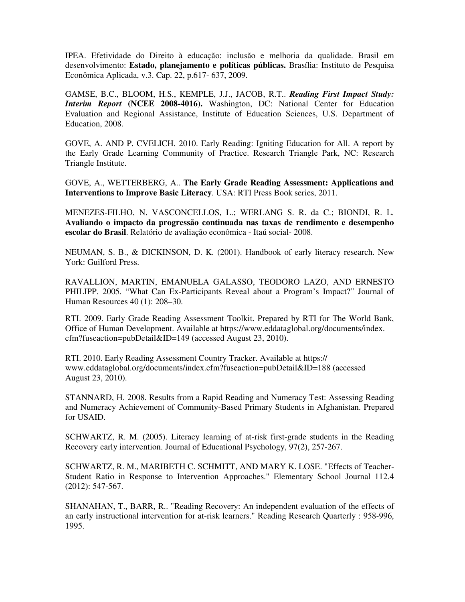IPEA. Efetividade do Direito à educação: inclusão e melhoria da qualidade. Brasil em desenvolvimento: **Estado, planejamento e políticas públicas.** Brasília: Instituto de Pesquisa Econômica Aplicada, v.3. Cap. 22, p.617- 637, 2009.

GAMSE, B.C., BLOOM, H.S., KEMPLE, J.J., JACOB, R.T.. *Reading First Impact Study: Interim Report* **(NCEE 2008-4016).** Washington, DC: National Center for Education Evaluation and Regional Assistance, Institute of Education Sciences, U.S. Department of Education, 2008.

GOVE, A. AND P. CVELICH. 2010. Early Reading: Igniting Education for All. A report by the Early Grade Learning Community of Practice. Research Triangle Park, NC: Research Triangle Institute.

GOVE, A., WETTERBERG, A.. **The Early Grade Reading Assessment: Applications and Interventions to Improve Basic Literacy**. USA: RTI Press Book series, 2011.

MENEZES-FILHO, N. VASCONCELLOS, L.; WERLANG S. R. da C.; BIONDI, R. L. **Avaliando o impacto da progressão continuada nas taxas de rendimento e desempenho escolar do Brasil**. Relatório de avaliação econômica - Itaú social- 2008.

NEUMAN, S. B., & DICKINSON, D. K. (2001). Handbook of early literacy research. New York: Guilford Press.

RAVALLION, MARTIN, EMANUELA GALASSO, TEODORO LAZO, AND ERNESTO PHILIPP. 2005. "What Can Ex-Participants Reveal about a Program's Impact?" Journal of Human Resources 40 (1): 208–30.

RTI. 2009. Early Grade Reading Assessment Toolkit. Prepared by RTI for The World Bank, Office of Human Development. Available at https://www.eddataglobal.org/documents/index. cfm?fuseaction=pubDetail&ID=149 (accessed August 23, 2010).

RTI. 2010. Early Reading Assessment Country Tracker. Available at https:// www.eddataglobal.org/documents/index.cfm?fuseaction=pubDetail&ID=188 (accessed August 23, 2010).

STANNARD, H. 2008. Results from a Rapid Reading and Numeracy Test: Assessing Reading and Numeracy Achievement of Community-Based Primary Students in Afghanistan. Prepared for USAID.

SCHWARTZ, R. M. (2005). Literacy learning of at-risk first-grade students in the Reading Recovery early intervention. Journal of Educational Psychology, 97(2), 257-267.

SCHWARTZ, R. M., MARIBETH C. SCHMITT, AND MARY K. LOSE. "Effects of Teacher-Student Ratio in Response to Intervention Approaches." Elementary School Journal 112.4 (2012): 547-567.

SHANAHAN, T., BARR, R.. "Reading Recovery: An independent evaluation of the effects of an early instructional intervention for at-risk learners." Reading Research Quarterly : 958-996, 1995.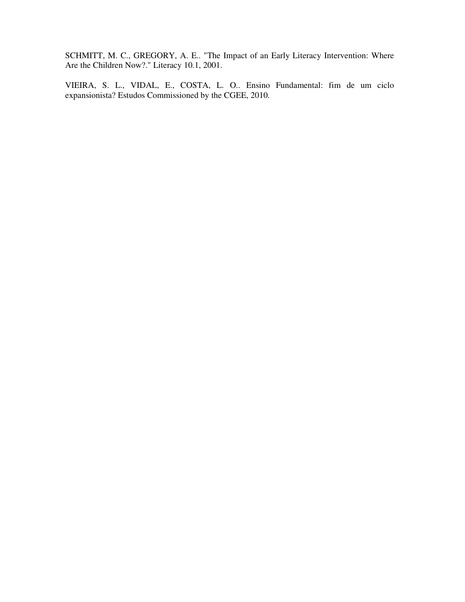SCHMITT, M. C., GREGORY, A. E.. "The Impact of an Early Literacy Intervention: Where Are the Children Now?." Literacy 10.1, 2001.

VIEIRA, S. L., VIDAL, E., COSTA, L. O.. Ensino Fundamental: fim de um ciclo expansionista? Estudos Commissioned by the CGEE, 2010.